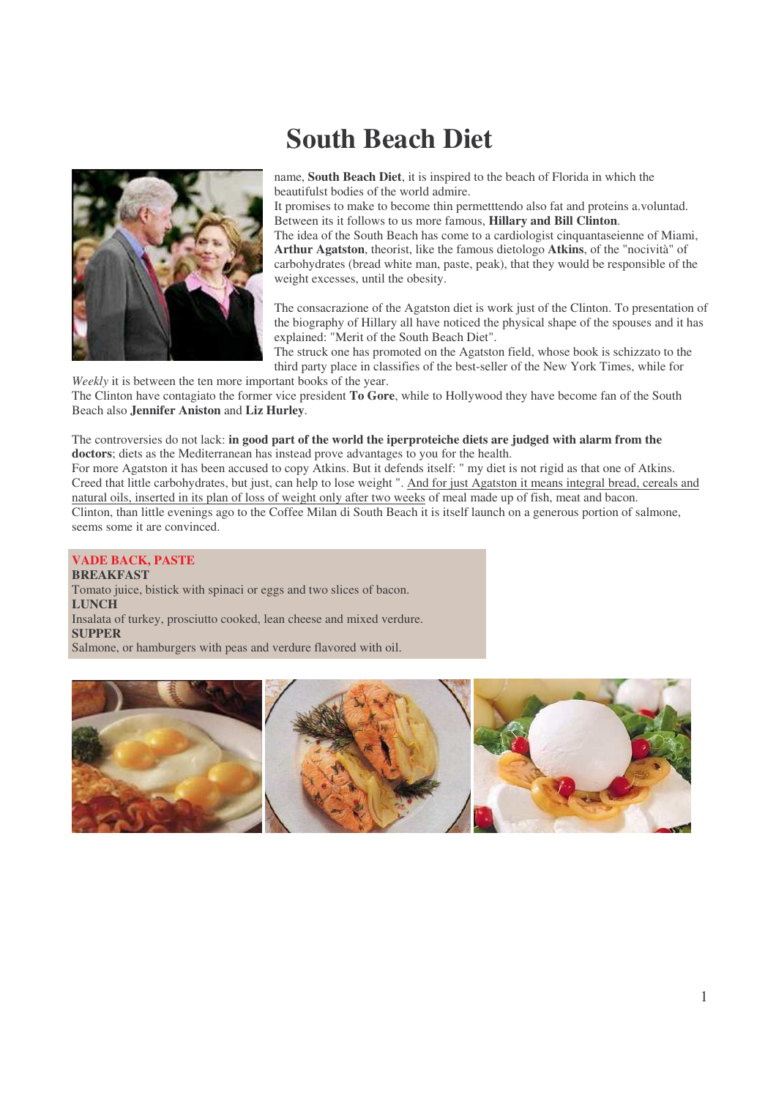# **South Beach Diet**



name, **South Beach Diet**, it is inspired to the beach of Florida in which the beautifulst bodies of the world admire.

It promises to make to become thin permetttendo also fat and proteins a.voluntad. Between its it follows to us more famous, **Hillary and Bill Clinton**.

The idea of the South Beach has come to a cardiologist cinquantaseienne of Miami, **Arthur Agatston**, theorist, like the famous dietologo **Atkins**, of the "nocività" of carbohydrates (bread white man, paste, peak), that they would be responsible of the weight excesses, until the obesity.

The consacrazione of the Agatston diet is work just of the Clinton. To presentation of the biography of Hillary all have noticed the physical shape of the spouses and it has explained: "Merit of the South Beach Diet".

The struck one has promoted on the Agatston field, whose book is schizzato to the third party place in classifies of the best-seller of the New York Times, while for

*Weekly* it is between the ten more important books of the year. The Clinton have contagiato the former vice president **To Gore**, while to Hollywood they have become fan of the South Beach also **Jennifer Aniston** and **Liz Hurley**.

The controversies do not lack: **in good part of the world the iperproteiche diets are judged with alarm from the doctors**; diets as the Mediterranean has instead prove advantages to you for the health.

For more Agatston it has been accused to copy Atkins. But it defends itself: " my diet is not rigid as that one of Atkins. Creed that little carbohydrates, but just, can help to lose weight ". And for just Agatston it means integral bread, cereals and natural oils, inserted in its plan of loss of weight only after two weeks of meal made up of fish, meat and bacon. Clinton, than little evenings ago to the Coffee Milan di South Beach it is itself launch on a generous portion of salmone, seems some it are convinced.

**VADE BACK, PASTE BREAKFAST**

Tomato juice, bistick with spinaci or eggs and two slices of bacon. **LUNCH** Insalata of turkey, prosciutto cooked, lean cheese and mixed verdure. **SUPPER**

Salmone, or hamburgers with peas and verdure flavored with oil.

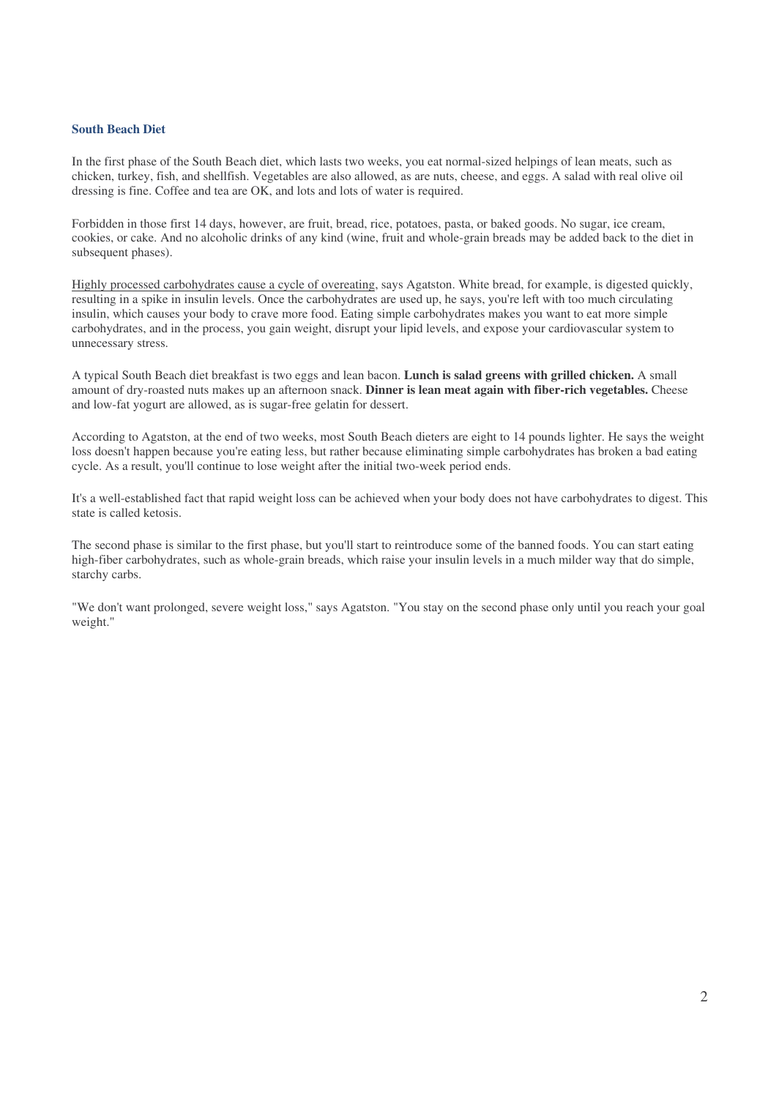#### **South Beach Diet**

In the first phase of the South Beach diet, which lasts two weeks, you eat normal-sized helpings of lean meats, such as chicken, turkey, fish, and shellfish. Vegetables are also allowed, as are nuts, cheese, and eggs. A salad with real olive oil dressing is fine. Coffee and tea are OK, and lots and lots of water is required.

Forbidden in those first 14 days, however, are fruit, bread, rice, potatoes, pasta, or baked goods. No sugar, ice cream, cookies, or cake. And no alcoholic drinks of any kind (wine, fruit and whole-grain breads may be added back to the diet in subsequent phases).

Highly processed carbohydrates cause a cycle of overeating, says Agatston. White bread, for example, is digested quickly, resulting in a spike in insulin levels. Once the carbohydrates are used up, he says, you're left with too much circulating insulin, which causes your body to crave more food. Eating simple carbohydrates makes you want to eat more simple carbohydrates, and in the process, you gain weight, disrupt your lipid levels, and expose your cardiovascular system to unnecessary stress.

A typical South Beach diet breakfast is two eggs and lean bacon. **Lunch is salad greens with grilled chicken.** A small amount of dry-roasted nuts makes up an afternoon snack. **Dinner is lean meat again with fiber-rich vegetables.** Cheese and low-fat yogurt are allowed, as is sugar-free gelatin for dessert.

According to Agatston, at the end of two weeks, most South Beach dieters are eight to 14 pounds lighter. He says the weight loss doesn't happen because you're eating less, but rather because eliminating simple carbohydrates has broken a bad eating cycle. As a result, you'll continue to lose weight after the initial two-week period ends.

It's a well-established fact that rapid weight loss can be achieved when your body does not have carbohydrates to digest. This state is called ketosis.

The second phase is similar to the first phase, but you'll start to reintroduce some of the banned foods. You can start eating high-fiber carbohydrates, such as whole-grain breads, which raise your insulin levels in a much milder way that do simple, starchy carbs.

"We don't want prolonged, severe weight loss," says Agatston. "You stay on the second phase only until you reach your goal weight."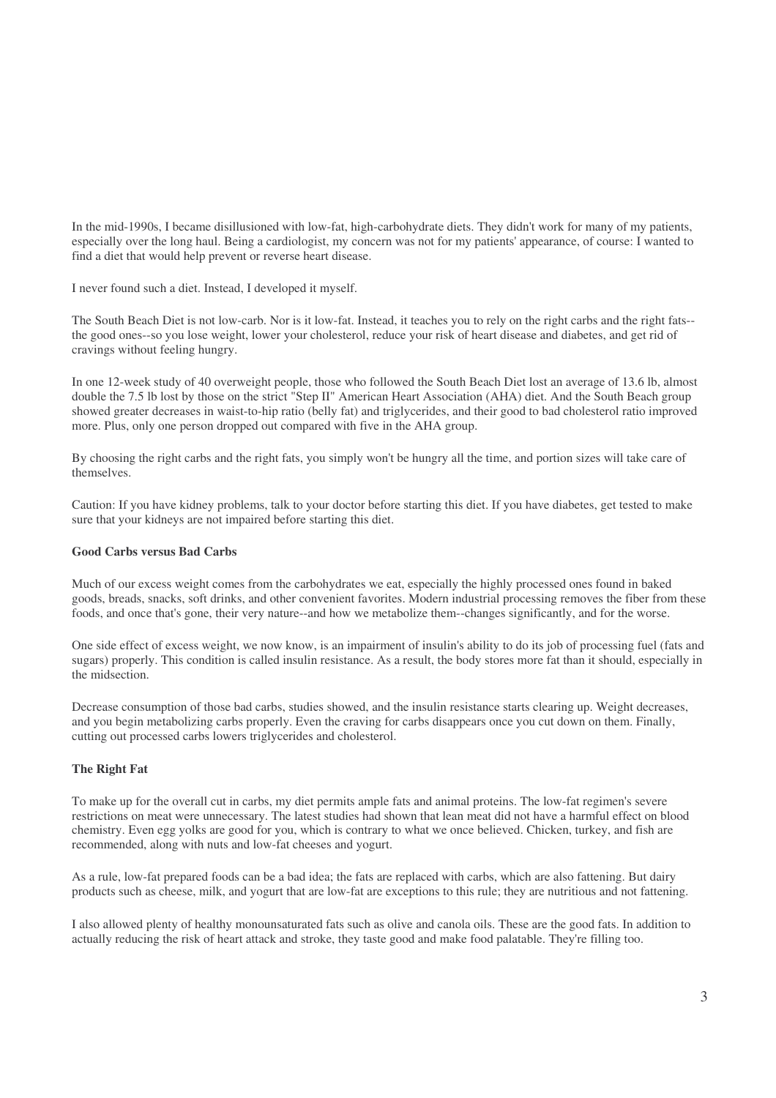In the mid-1990s, I became disillusioned with low-fat, high-carbohydrate diets. They didn't work for many of my patients, especially over the long haul. Being a cardiologist, my concern was not for my patients' appearance, of course: I wanted to find a diet that would help prevent or reverse heart disease.

I never found such a diet. Instead, I developed it myself.

The South Beach Diet is not low-carb. Nor is it low-fat. Instead, it teaches you to rely on the right carbs and the right fats- the good ones--so you lose weight, lower your cholesterol, reduce your risk of heart disease and diabetes, and get rid of cravings without feeling hungry.

In one 12-week study of 40 overweight people, those who followed the South Beach Diet lost an average of 13.6 lb, almost double the 7.5 lb lost by those on the strict "Step II" American Heart Association (AHA) diet. And the South Beach group showed greater decreases in waist-to-hip ratio (belly fat) and triglycerides, and their good to bad cholesterol ratio improved more. Plus, only one person dropped out compared with five in the AHA group.

By choosing the right carbs and the right fats, you simply won't be hungry all the time, and portion sizes will take care of themselves.

Caution: If you have kidney problems, talk to your doctor before starting this diet. If you have diabetes, get tested to make sure that your kidneys are not impaired before starting this diet.

#### **Good Carbs versus Bad Carbs**

Much of our excess weight comes from the carbohydrates we eat, especially the highly processed ones found in baked goods, breads, snacks, soft drinks, and other convenient favorites. Modern industrial processing removes the fiber from these foods, and once that's gone, their very nature--and how we metabolize them--changes significantly, and for the worse.

One side effect of excess weight, we now know, is an impairment of insulin's ability to do its job of processing fuel (fats and sugars) properly. This condition is called insulin resistance. As a result, the body stores more fat than it should, especially in the midsection.

Decrease consumption of those bad carbs, studies showed, and the insulin resistance starts clearing up. Weight decreases, and you begin metabolizing carbs properly. Even the craving for carbs disappears once you cut down on them. Finally, cutting out processed carbs lowers triglycerides and cholesterol.

#### **The Right Fat**

To make up for the overall cut in carbs, my diet permits ample fats and animal proteins. The low-fat regimen's severe restrictions on meat were unnecessary. The latest studies had shown that lean meat did not have a harmful effect on blood chemistry. Even egg yolks are good for you, which is contrary to what we once believed. Chicken, turkey, and fish are recommended, along with nuts and low-fat cheeses and yogurt.

As a rule, low-fat prepared foods can be a bad idea; the fats are replaced with carbs, which are also fattening. But dairy products such as cheese, milk, and yogurt that are low-fat are exceptions to this rule; they are nutritious and not fattening.

I also allowed plenty of healthy monounsaturated fats such as olive and canola oils. These are the good fats. In addition to actually reducing the risk of heart attack and stroke, they taste good and make food palatable. They're filling too.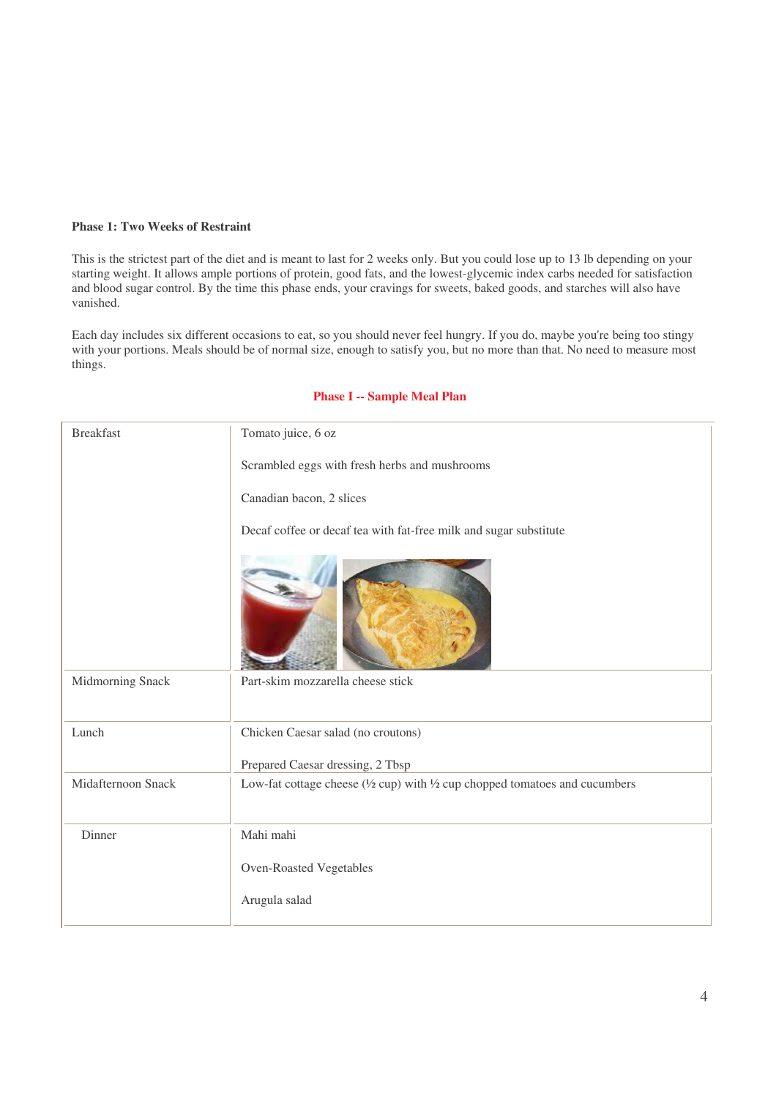#### **Phase 1: Two Weeks of Restraint**

This is the strictest part of the diet and is meant to last for 2 weeks only. But you could lose up to 13 lb depending on your starting weight. It allows ample portions of protein, good fats, and the lowest-glycemic index carbs needed for satisfaction and blood sugar control. By the time this phase ends, your cravings for sweets, baked goods, and starches will also have vanished.

Each day includes six different occasions to eat, so you should never feel hungry. If you do, maybe you're being too stingy with your portions. Meals should be of normal size, enough to satisfy you, but no more than that. No need to measure most things.

| <b>Breakfast</b>   | Tomato juice, 6 oz                                                                           |
|--------------------|----------------------------------------------------------------------------------------------|
|                    | Scrambled eggs with fresh herbs and mushrooms                                                |
|                    | Canadian bacon, 2 slices                                                                     |
|                    | Decaf coffee or decaf tea with fat-free milk and sugar substitute                            |
|                    |                                                                                              |
| Midmorning Snack   | Part-skim mozzarella cheese stick                                                            |
| Lunch              | Chicken Caesar salad (no croutons)                                                           |
|                    | Prepared Caesar dressing, 2 Tbsp                                                             |
| Midafternoon Snack | Low-fat cottage cheese $(½ \text{ cup})$ with $½ \text{ cup}$ chopped tomatoes and cucumbers |
| Dinner             | Mahi mahi                                                                                    |
|                    | Oven-Roasted Vegetables                                                                      |
|                    | Arugula salad                                                                                |

#### **Phase I -- Sample Meal Plan**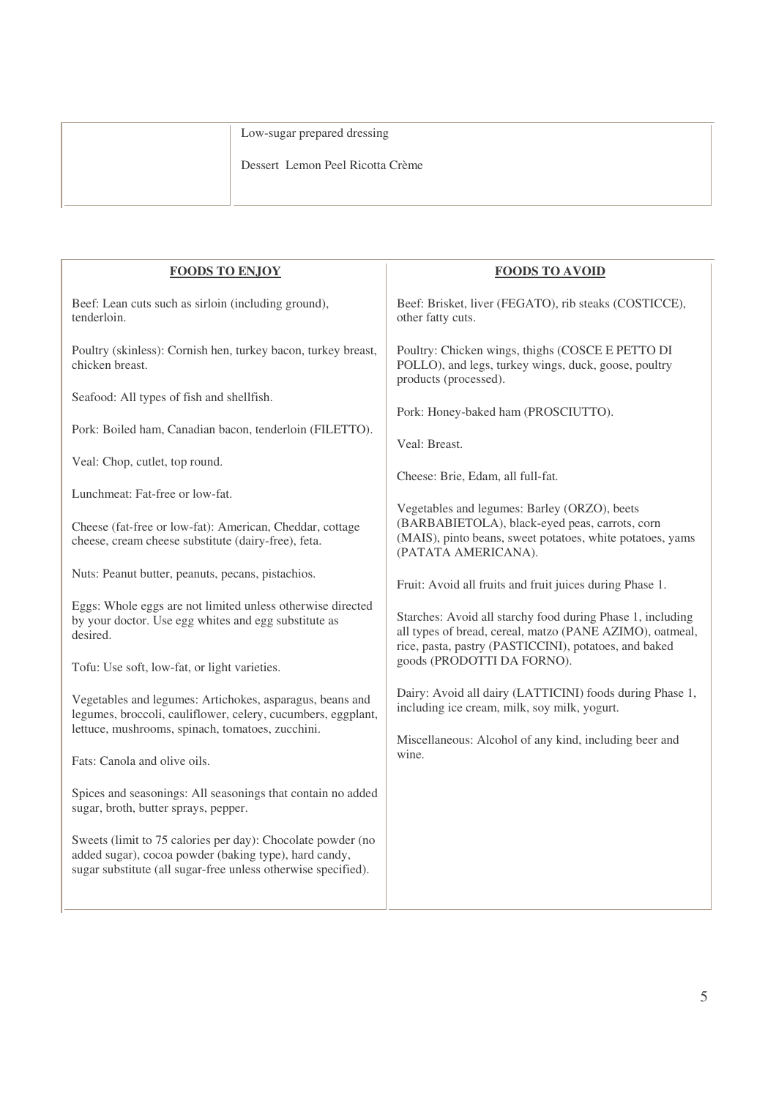| Low-sugar prepared dressing      |
|----------------------------------|
| Dessert Lemon Peel Ricotta Crème |
|                                  |

| <b>FOODS TO ENJOY</b>                                                                                                                                                                 | <b>FOODS TO AVOID</b>                                                                                                                                                              |
|---------------------------------------------------------------------------------------------------------------------------------------------------------------------------------------|------------------------------------------------------------------------------------------------------------------------------------------------------------------------------------|
| Beef: Lean cuts such as sirloin (including ground),<br>tenderloin.                                                                                                                    | Beef: Brisket, liver (FEGATO), rib steaks (COSTICCE),<br>other fatty cuts.                                                                                                         |
| Poultry (skinless): Cornish hen, turkey bacon, turkey breast,<br>chicken breast.                                                                                                      | Poultry: Chicken wings, thighs (COSCE E PETTO DI<br>POLLO), and legs, turkey wings, duck, goose, poultry<br>products (processed).                                                  |
| Seafood: All types of fish and shellfish.                                                                                                                                             |                                                                                                                                                                                    |
| Pork: Boiled ham, Canadian bacon, tenderloin (FILETTO).                                                                                                                               | Pork: Honey-baked ham (PROSCIUTTO).<br>Veal: Breast.                                                                                                                               |
| Veal: Chop, cutlet, top round.                                                                                                                                                        | Cheese: Brie, Edam, all full-fat.                                                                                                                                                  |
| Lunchmeat: Fat-free or low-fat.                                                                                                                                                       |                                                                                                                                                                                    |
| Cheese (fat-free or low-fat): American, Cheddar, cottage<br>cheese, cream cheese substitute (dairy-free), feta.                                                                       | Vegetables and legumes: Barley (ORZO), beets<br>(BARBABIETOLA), black-eyed peas, carrots, corn<br>(MAIS), pinto beans, sweet potatoes, white potatoes, yams<br>(PATATA AMERICANA). |
| Nuts: Peanut butter, peanuts, pecans, pistachios.                                                                                                                                     | Fruit: Avoid all fruits and fruit juices during Phase 1.                                                                                                                           |
| Eggs: Whole eggs are not limited unless otherwise directed<br>by your doctor. Use egg whites and egg substitute as<br>desired.                                                        | Starches: Avoid all starchy food during Phase 1, including<br>all types of bread, cereal, matzo (PANE AZIMO), oatmeal,<br>rice, pasta, pastry (PASTICCINI), potatoes, and baked    |
| Tofu: Use soft, low-fat, or light varieties.                                                                                                                                          | goods (PRODOTTI DA FORNO).                                                                                                                                                         |
| Vegetables and legumes: Artichokes, asparagus, beans and<br>legumes, broccoli, cauliflower, celery, cucumbers, eggplant,                                                              | Dairy: Avoid all dairy (LATTICINI) foods during Phase 1,<br>including ice cream, milk, soy milk, yogurt.                                                                           |
| lettuce, mushrooms, spinach, tomatoes, zucchini.                                                                                                                                      | Miscellaneous: Alcohol of any kind, including beer and                                                                                                                             |
| Fats: Canola and olive oils.                                                                                                                                                          | wine.                                                                                                                                                                              |
| Spices and seasonings: All seasonings that contain no added<br>sugar, broth, butter sprays, pepper.                                                                                   |                                                                                                                                                                                    |
| Sweets (limit to 75 calories per day): Chocolate powder (no<br>added sugar), cocoa powder (baking type), hard candy,<br>sugar substitute (all sugar-free unless otherwise specified). |                                                                                                                                                                                    |
|                                                                                                                                                                                       |                                                                                                                                                                                    |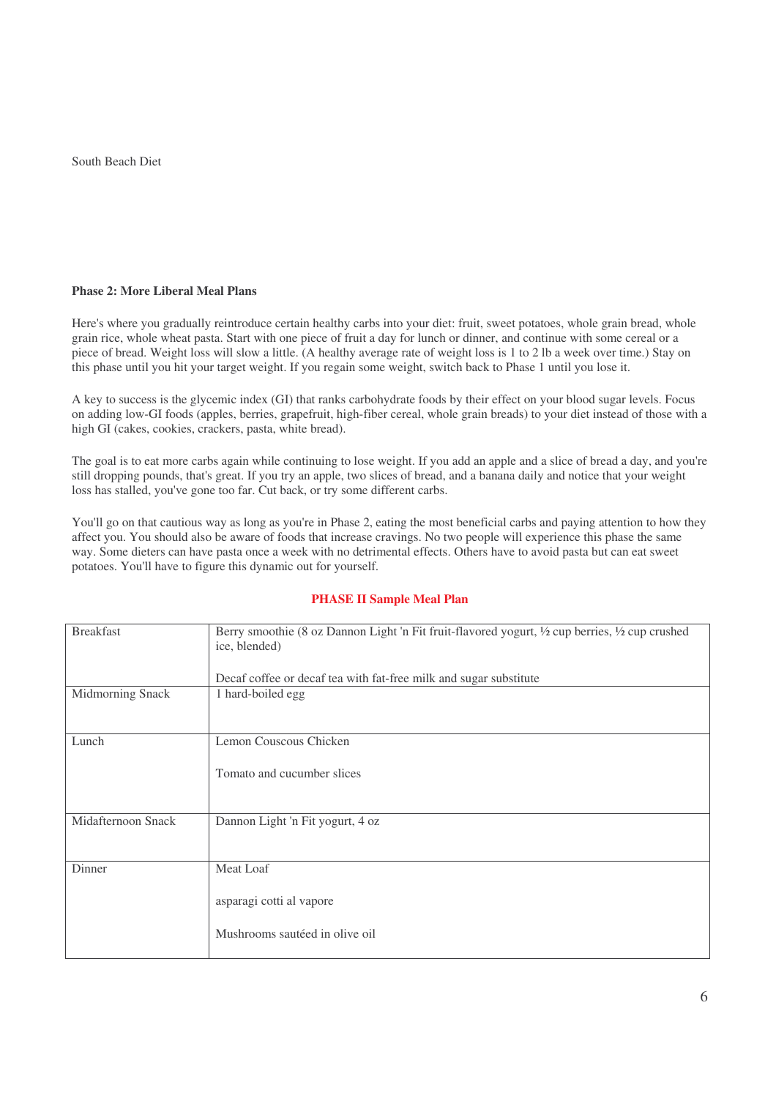South Beach Diet

#### **Phase 2: More Liberal Meal Plans**

Here's where you gradually reintroduce certain healthy carbs into your diet: fruit, sweet potatoes, whole grain bread, whole grain rice, whole wheat pasta. Start with one piece of fruit a day for lunch or dinner, and continue with some cereal or a piece of bread. Weight loss will slow a little. (A healthy average rate of weight loss is 1 to 2 lb a week over time.) Stay on this phase until you hit your target weight. If you regain some weight, switch back to Phase 1 until you lose it.

A key to success is the glycemic index (GI) that ranks carbohydrate foods by their effect on your blood sugar levels. Focus on adding low-GI foods (apples, berries, grapefruit, high-fiber cereal, whole grain breads) to your diet instead of those with a high GI (cakes, cookies, crackers, pasta, white bread).

The goal is to eat more carbs again while continuing to lose weight. If you add an apple and a slice of bread a day, and you're still dropping pounds, that's great. If you try an apple, two slices of bread, and a banana daily and notice that your weight loss has stalled, you've gone too far. Cut back, or try some different carbs.

You'll go on that cautious way as long as you're in Phase 2, eating the most beneficial carbs and paying attention to how they affect you. You should also be aware of foods that increase cravings. No two people will experience this phase the same way. Some dieters can have pasta once a week with no detrimental effects. Others have to avoid pasta but can eat sweet potatoes. You'll have to figure this dynamic out for yourself.

#### **PHASE II Sample Meal Plan**

| <b>Breakfast</b>   | Berry smoothie (8 oz Dannon Light 'n Fit fruit-flavored yogurt, 1/2 cup berries, 1/2 cup crushed<br>ice, blended)<br>Decaf coffee or decaf tea with fat-free milk and sugar substitute |
|--------------------|----------------------------------------------------------------------------------------------------------------------------------------------------------------------------------------|
| Midmorning Snack   | 1 hard-boiled egg                                                                                                                                                                      |
| Lunch              | Lemon Couscous Chicken<br>Tomato and cucumber slices                                                                                                                                   |
| Midafternoon Snack | Dannon Light 'n Fit yogurt, 4 oz                                                                                                                                                       |
| Dinner             | Meat Loaf<br>asparagi cotti al vapore<br>Mushrooms sautéed in olive oil                                                                                                                |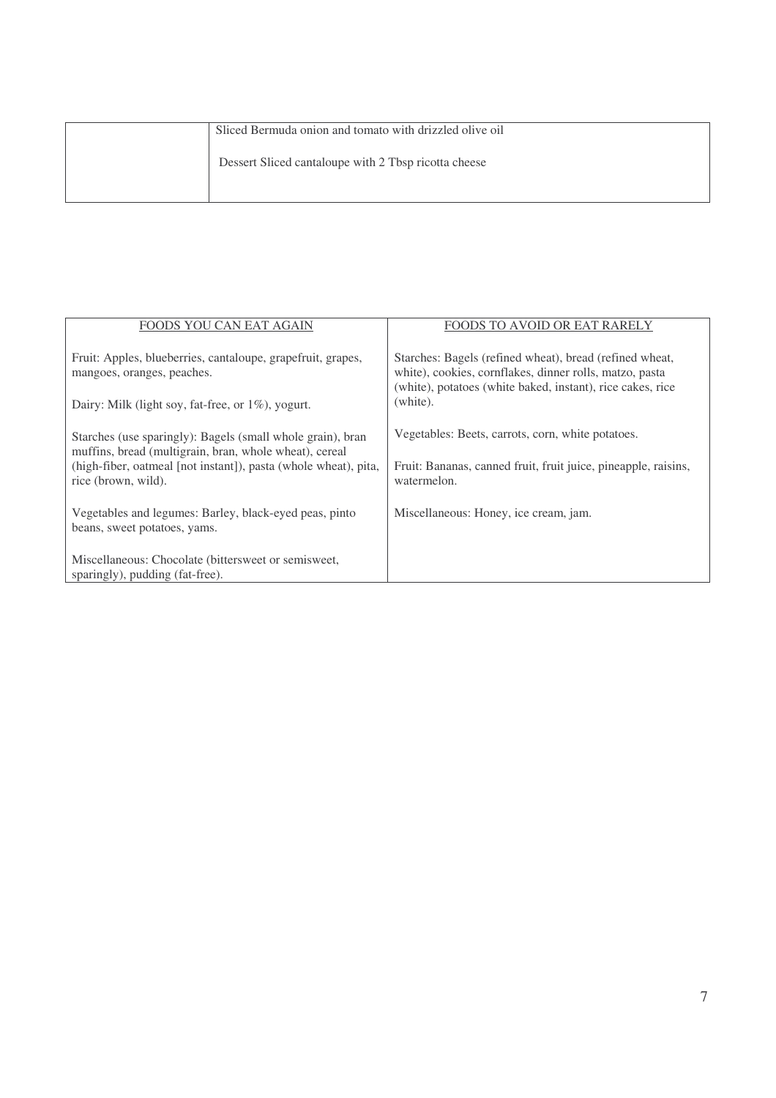| Sliced Bermuda onion and tomato with drizzled olive oil |
|---------------------------------------------------------|
| Dessert Sliced cantaloupe with 2 Tbsp ricotta cheese    |
|                                                         |

| <b>FOODS YOU CAN EAT AGAIN</b>                                                                                                                                                                                 | FOODS TO AVOID OR EAT RARELY                                                                                                                                                                 |
|----------------------------------------------------------------------------------------------------------------------------------------------------------------------------------------------------------------|----------------------------------------------------------------------------------------------------------------------------------------------------------------------------------------------|
| Fruit: Apples, blueberries, cantaloupe, grapefruit, grapes,<br>mangoes, oranges, peaches.<br>Dairy: Milk (light soy, fat-free, or $1\%$ ), yogurt.                                                             | Starches: Bagels (refined wheat), bread (refined wheat,<br>white), cookies, cornflakes, dinner rolls, matzo, pasta<br>(white), potatoes (white baked, instant), rice cakes, rice<br>(white). |
| Starches (use sparingly): Bagels (small whole grain), bran<br>muffins, bread (multigrain, bran, whole wheat), cereal<br>(high-fiber, oatmeal [not instant]), pasta (whole wheat), pita,<br>rice (brown, wild). | Vegetables: Beets, carrots, corn, white potatoes.<br>Fruit: Bananas, canned fruit, fruit juice, pineapple, raisins,<br>watermelon.                                                           |
| Vegetables and legumes: Barley, black-eyed peas, pinto<br>beans, sweet potatoes, yams.                                                                                                                         | Miscellaneous: Honey, ice cream, jam.                                                                                                                                                        |
| Miscellaneous: Chocolate (bittersweet or semisweet,<br>sparingly), pudding (fat-free).                                                                                                                         |                                                                                                                                                                                              |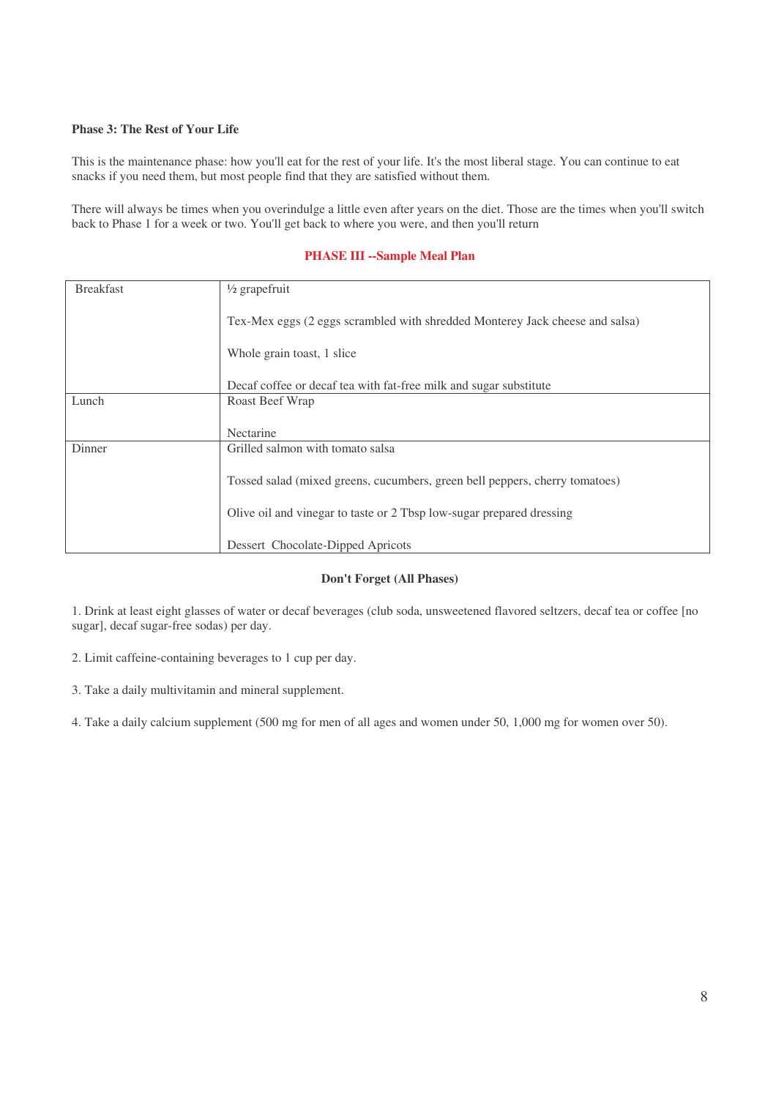#### **Phase 3: The Rest of Your Life**

This is the maintenance phase: how you'll eat for the rest of your life. It's the most liberal stage. You can continue to eat snacks if you need them, but most people find that they are satisfied without them.

There will always be times when you overindulge a little even after years on the diet. Those are the times when you'll switch back to Phase 1 for a week or two. You'll get back to where you were, and then you'll return

#### **PHASE III --Sample Meal Plan**

| <b>Breakfast</b> | $\frac{1}{2}$ grapefruit                                                     |
|------------------|------------------------------------------------------------------------------|
|                  | Tex-Mex eggs (2 eggs scrambled with shredded Monterey Jack cheese and salsa) |
|                  | Whole grain toast, 1 slice                                                   |
|                  | Decaf coffee or decaf tea with fat-free milk and sugar substitute            |
| Lunch            | Roast Beef Wrap                                                              |
|                  | Nectarine                                                                    |
| Dinner           | Grilled salmon with tomato salsa                                             |
|                  | Tossed salad (mixed greens, cucumbers, green bell peppers, cherry tomatoes)  |
|                  | Olive oil and vinegar to taste or 2 Tbsp low-sugar prepared dressing         |
|                  | Dessert Chocolate-Dipped Apricots                                            |

#### **Don't Forget (All Phases)**

1. Drink at least eight glasses of water or decaf beverages (club soda, unsweetened flavored seltzers, decaf tea or coffee [no sugar], decaf sugar-free sodas) per day.

2. Limit caffeine-containing beverages to 1 cup per day.

3. Take a daily multivitamin and mineral supplement.

4. Take a daily calcium supplement (500 mg for men of all ages and women under 50, 1,000 mg for women over 50).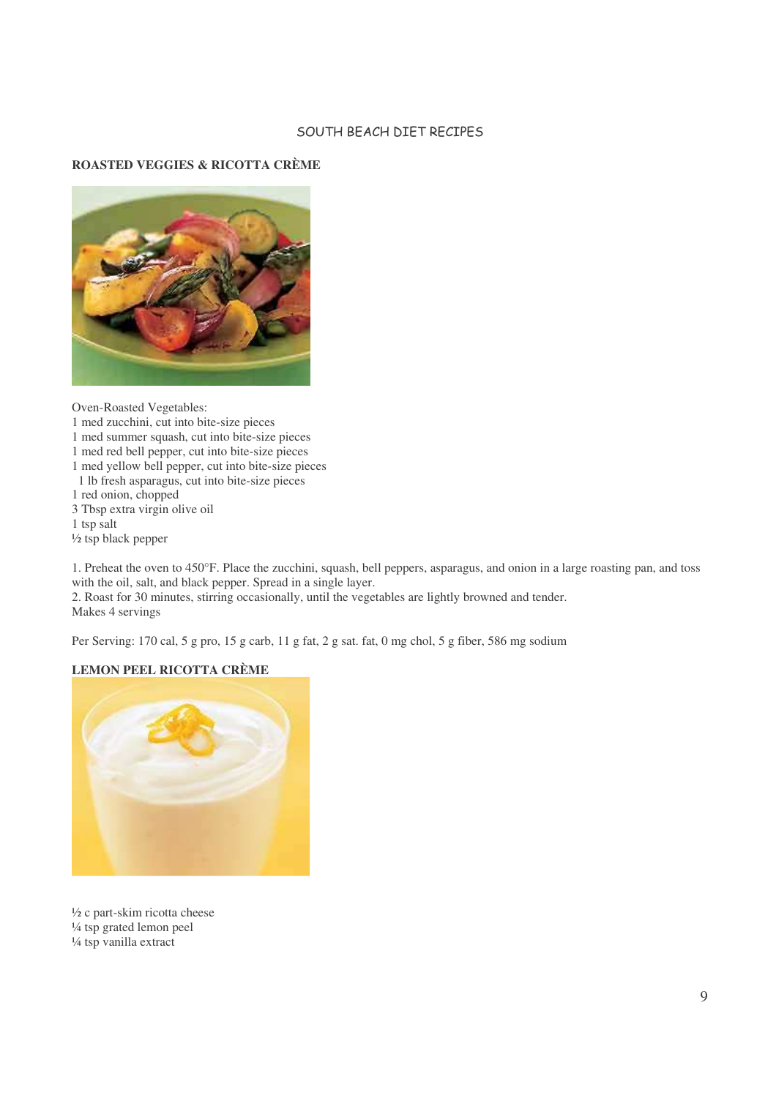#### SOUTH BEACH DIET RECIPES

#### **ROASTED VEGGIES & RICOTTA CRÈME**



Oven-Roasted Vegetables:

- 1 med zucchini, cut into bite-size pieces
- 1 med summer squash, cut into bite-size pieces
- 1 med red bell pepper, cut into bite-size pieces
- 1 med yellow bell pepper, cut into bite-size pieces
- 1 lb fresh asparagus, cut into bite-size pieces
- 1 red onion, chopped

3 Tbsp extra virgin olive oil

1 tsp salt

 $\frac{1}{2}$  tsp black pepper

1. Preheat the oven to 450°F. Place the zucchini, squash, bell peppers, asparagus, and onion in a large roasting pan, and toss with the oil, salt, and black pepper. Spread in a single layer.

2. Roast for 30 minutes, stirring occasionally, until the vegetables are lightly browned and tender. Makes 4 servings

Per Serving: 170 cal, 5 g pro, 15 g carb, 11 g fat, 2 g sat. fat, 0 mg chol, 5 g fiber, 586 mg sodium

#### **LEMON PEEL RICOTTA CRÈME**



½ c part-skim ricotta cheese ¼ tsp grated lemon peel  $\frac{1}{4}$  tsp vanilla extract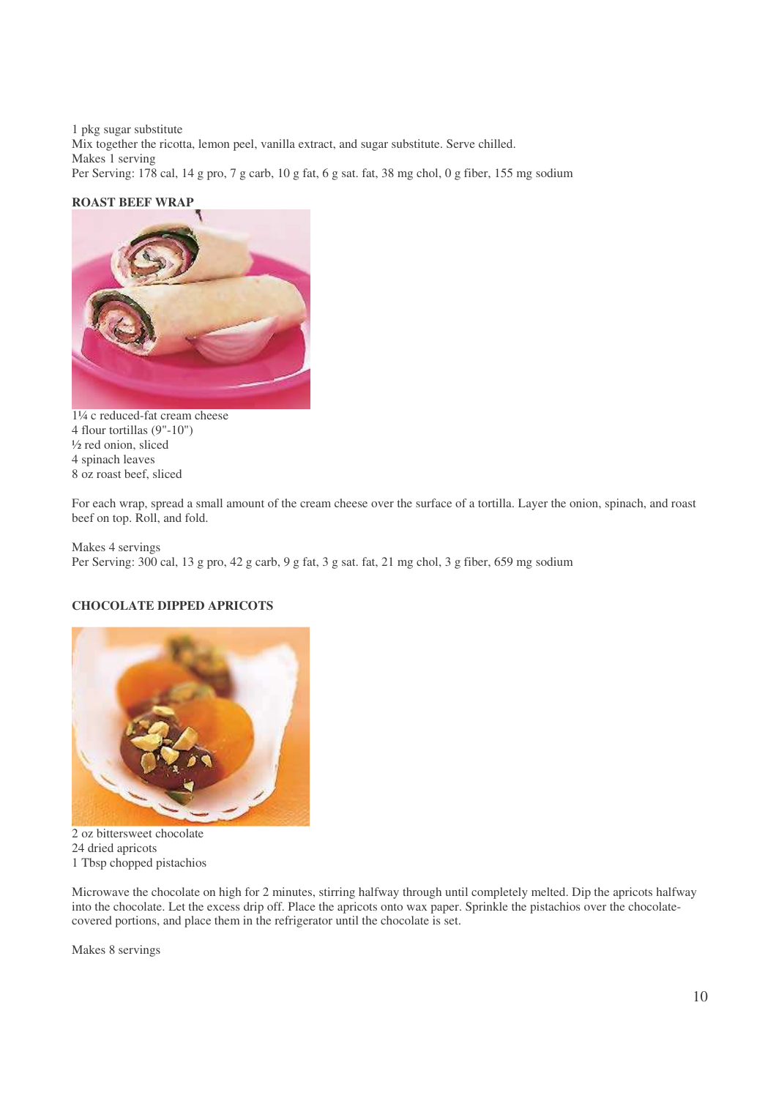1 pkg sugar substitute

Mix together the ricotta, lemon peel, vanilla extract, and sugar substitute. Serve chilled. Makes 1 serving

Per Serving: 178 cal, 14 g pro, 7 g carb, 10 g fat, 6 g sat. fat, 38 mg chol, 0 g fiber, 155 mg sodium

#### **ROAST BEEF WRAP**



1¼ c reduced-fat cream cheese 4 flour tortillas (9"-10") ½ red onion, sliced 4 spinach leaves 8 oz roast beef, sliced

For each wrap, spread a small amount of the cream cheese over the surface of a tortilla. Layer the onion, spinach, and roast beef on top. Roll, and fold.

Makes 4 servings Per Serving: 300 cal, 13 g pro, 42 g carb, 9 g fat, 3 g sat. fat, 21 mg chol, 3 g fiber, 659 mg sodium

#### **CHOCOLATE DIPPED APRICOTS**



2 oz bittersweet chocolate 24 dried apricots 1 Tbsp chopped pistachios

Microwave the chocolate on high for 2 minutes, stirring halfway through until completely melted. Dip the apricots halfway into the chocolate. Let the excess drip off. Place the apricots onto wax paper. Sprinkle the pistachios over the chocolatecovered portions, and place them in the refrigerator until the chocolate is set.

Makes 8 servings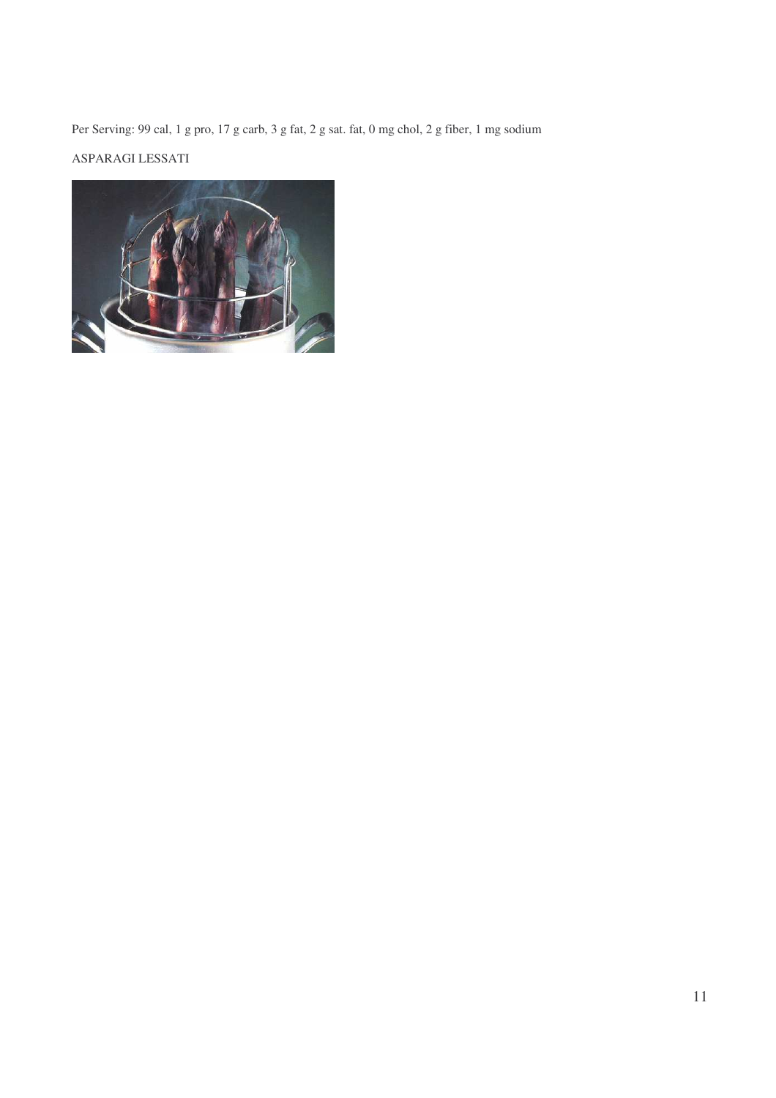Per Serving: 99 cal, 1 g pro, 17 g carb, 3 g fat, 2 g sat. fat, 0 mg chol, 2 g fiber, 1 mg sodium

## ASPARAGI LESSATI

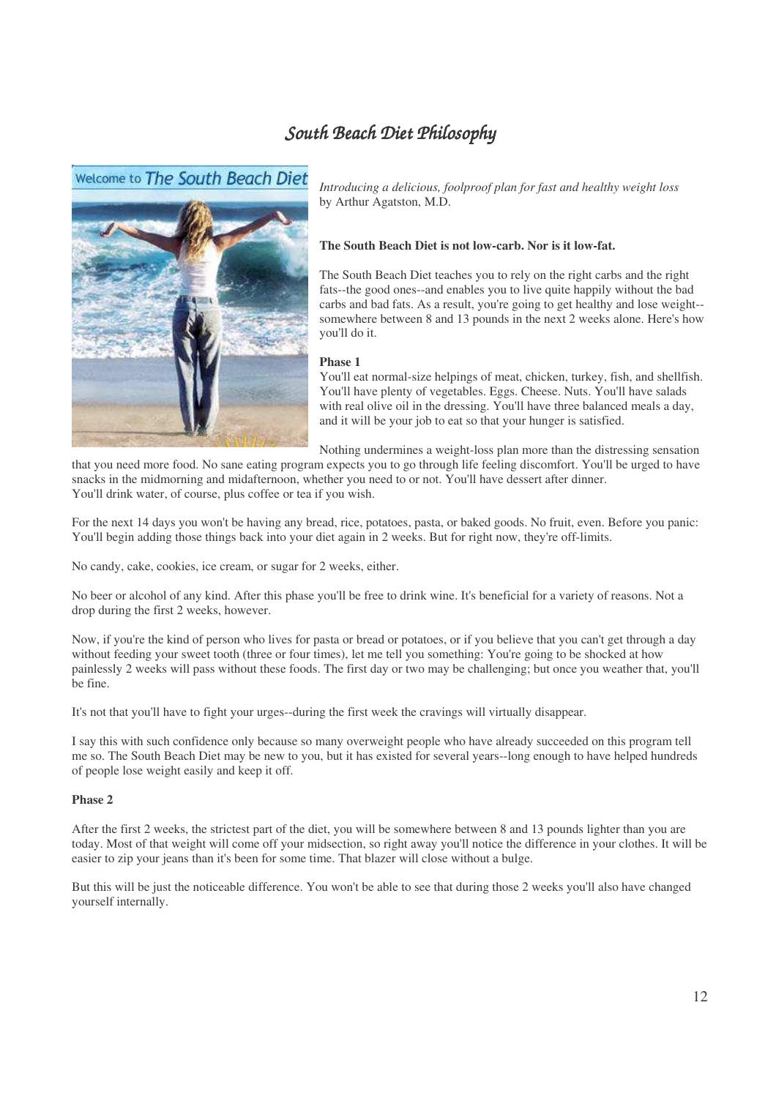# *South Beach Diet Philosophy*

## Welcome to The South Beach Diet



*Introducing a delicious, foolproof plan for fast and healthy weight loss* by Arthur Agatston, M.D.

#### **The South Beach Diet is not low-carb. Nor is it low-fat.**

The South Beach Diet teaches you to rely on the right carbs and the right fats--the good ones--and enables you to live quite happily without the bad carbs and bad fats. As a result, you're going to get healthy and lose weight- somewhere between 8 and 13 pounds in the next 2 weeks alone. Here's how you'll do it.

#### **Phase 1**

You'll eat normal-size helpings of meat, chicken, turkey, fish, and shellfish. You'll have plenty of vegetables. Eggs. Cheese. Nuts. You'll have salads with real olive oil in the dressing. You'll have three balanced meals a day, and it will be your job to eat so that your hunger is satisfied.

Nothing undermines a weight-loss plan more than the distressing sensation

that you need more food. No sane eating program expects you to go through life feeling discomfort. You'll be urged to have snacks in the midmorning and midafternoon, whether you need to or not. You'll have dessert after dinner. You'll drink water, of course, plus coffee or tea if you wish.

For the next 14 days you won't be having any bread, rice, potatoes, pasta, or baked goods. No fruit, even. Before you panic: You'll begin adding those things back into your diet again in 2 weeks. But for right now, they're off-limits.

No candy, cake, cookies, ice cream, or sugar for 2 weeks, either.

No beer or alcohol of any kind. After this phase you'll be free to drink wine. It's beneficial for a variety of reasons. Not a drop during the first 2 weeks, however.

Now, if you're the kind of person who lives for pasta or bread or potatoes, or if you believe that you can't get through a day without feeding your sweet tooth (three or four times), let me tell you something: You're going to be shocked at how painlessly 2 weeks will pass without these foods. The first day or two may be challenging; but once you weather that, you'll be fine.

It's not that you'll have to fight your urges--during the first week the cravings will virtually disappear.

I say this with such confidence only because so many overweight people who have already succeeded on this program tell me so. The South Beach Diet may be new to you, but it has existed for several years--long enough to have helped hundreds of people lose weight easily and keep it off.

#### **Phase 2**

After the first 2 weeks, the strictest part of the diet, you will be somewhere between 8 and 13 pounds lighter than you are today. Most of that weight will come off your midsection, so right away you'll notice the difference in your clothes. It will be easier to zip your jeans than it's been for some time. That blazer will close without a bulge.

But this will be just the noticeable difference. You won't be able to see that during those 2 weeks you'll also have changed yourself internally.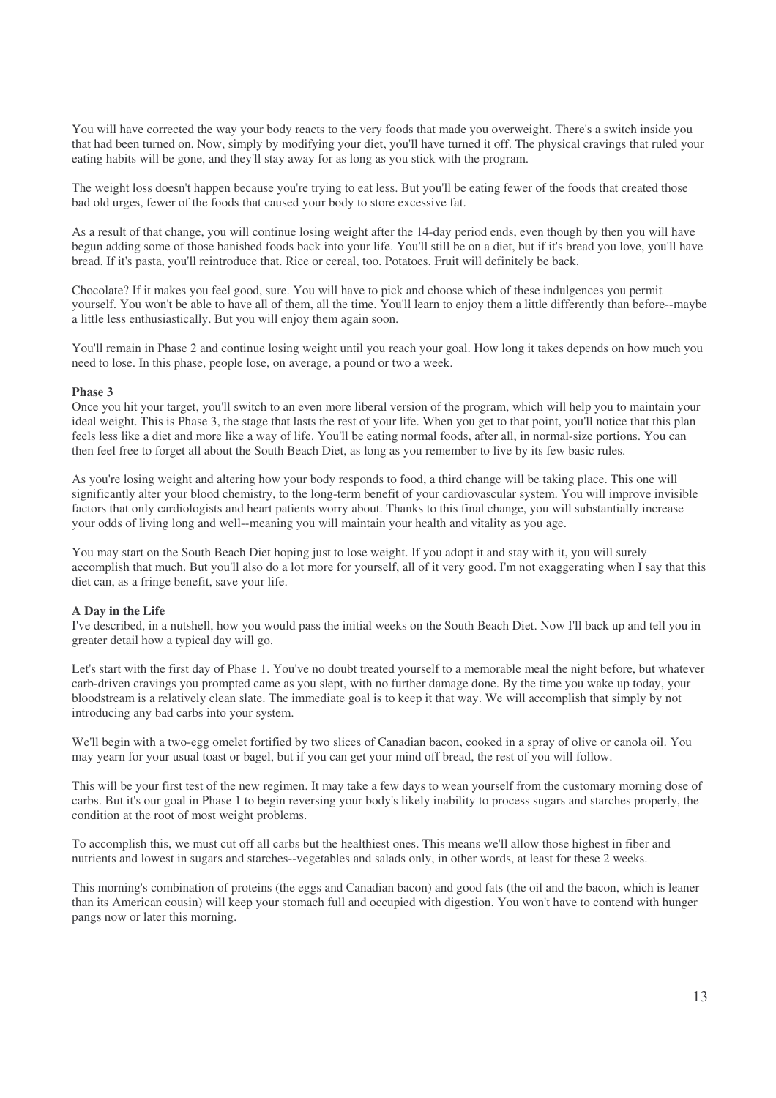You will have corrected the way your body reacts to the very foods that made you overweight. There's a switch inside you that had been turned on. Now, simply by modifying your diet, you'll have turned it off. The physical cravings that ruled your eating habits will be gone, and they'll stay away for as long as you stick with the program.

The weight loss doesn't happen because you're trying to eat less. But you'll be eating fewer of the foods that created those bad old urges, fewer of the foods that caused your body to store excessive fat.

As a result of that change, you will continue losing weight after the 14-day period ends, even though by then you will have begun adding some of those banished foods back into your life. You'll still be on a diet, but if it's bread you love, you'll have bread. If it's pasta, you'll reintroduce that. Rice or cereal, too. Potatoes. Fruit will definitely be back.

Chocolate? If it makes you feel good, sure. You will have to pick and choose which of these indulgences you permit yourself. You won't be able to have all of them, all the time. You'll learn to enjoy them a little differently than before--maybe a little less enthusiastically. But you will enjoy them again soon.

You'll remain in Phase 2 and continue losing weight until you reach your goal. How long it takes depends on how much you need to lose. In this phase, people lose, on average, a pound or two a week.

#### **Phase 3**

Once you hit your target, you'll switch to an even more liberal version of the program, which will help you to maintain your ideal weight. This is Phase 3, the stage that lasts the rest of your life. When you get to that point, you'll notice that this plan feels less like a diet and more like a way of life. You'll be eating normal foods, after all, in normal-size portions. You can then feel free to forget all about the South Beach Diet, as long as you remember to live by its few basic rules.

As you're losing weight and altering how your body responds to food, a third change will be taking place. This one will significantly alter your blood chemistry, to the long-term benefit of your cardiovascular system. You will improve invisible factors that only cardiologists and heart patients worry about. Thanks to this final change, you will substantially increase your odds of living long and well--meaning you will maintain your health and vitality as you age.

You may start on the South Beach Diet hoping just to lose weight. If you adopt it and stay with it, you will surely accomplish that much. But you'll also do a lot more for yourself, all of it very good. I'm not exaggerating when I say that this diet can, as a fringe benefit, save your life.

#### **A Day in the Life**

I've described, in a nutshell, how you would pass the initial weeks on the South Beach Diet. Now I'll back up and tell you in greater detail how a typical day will go.

Let's start with the first day of Phase 1. You've no doubt treated yourself to a memorable meal the night before, but whatever carb-driven cravings you prompted came as you slept, with no further damage done. By the time you wake up today, your bloodstream is a relatively clean slate. The immediate goal is to keep it that way. We will accomplish that simply by not introducing any bad carbs into your system.

We'll begin with a two-egg omelet fortified by two slices of Canadian bacon, cooked in a spray of olive or canola oil. You may yearn for your usual toast or bagel, but if you can get your mind off bread, the rest of you will follow.

This will be your first test of the new regimen. It may take a few days to wean yourself from the customary morning dose of carbs. But it's our goal in Phase 1 to begin reversing your body's likely inability to process sugars and starches properly, the condition at the root of most weight problems.

To accomplish this, we must cut off all carbs but the healthiest ones. This means we'll allow those highest in fiber and nutrients and lowest in sugars and starches--vegetables and salads only, in other words, at least for these 2 weeks.

This morning's combination of proteins (the eggs and Canadian bacon) and good fats (the oil and the bacon, which is leaner than its American cousin) will keep your stomach full and occupied with digestion. You won't have to contend with hunger pangs now or later this morning.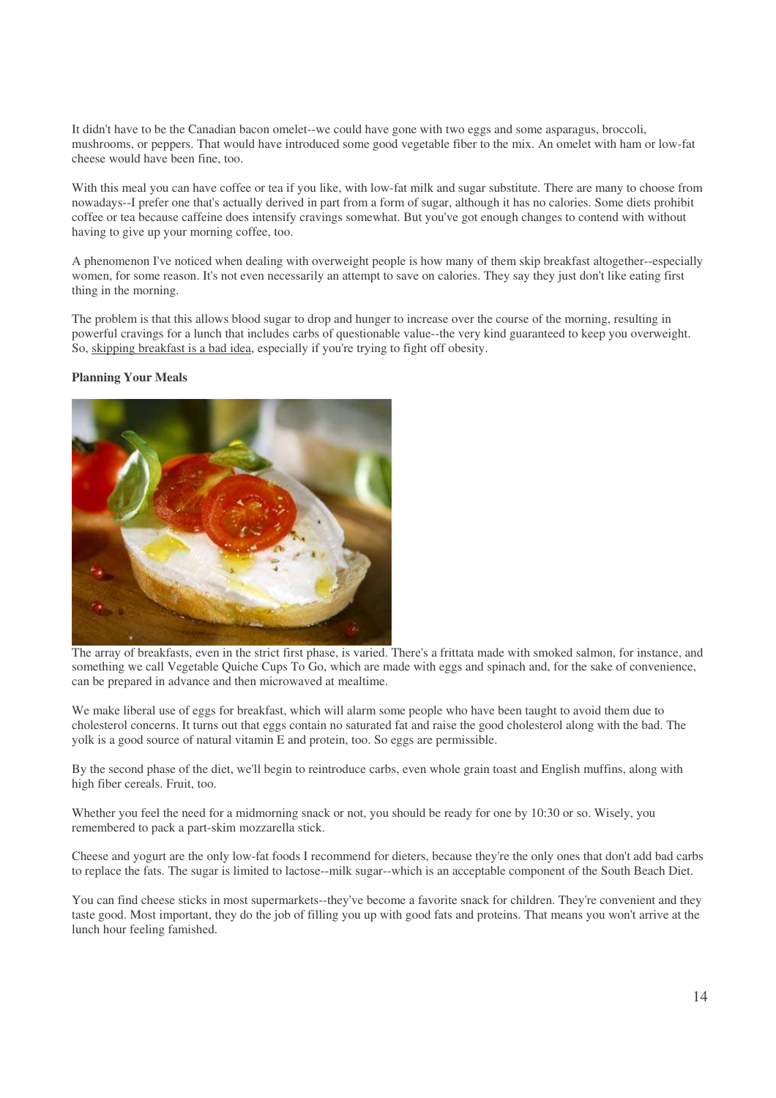It didn't have to be the Canadian bacon omelet--we could have gone with two eggs and some asparagus, broccoli, mushrooms, or peppers. That would have introduced some good vegetable fiber to the mix. An omelet with ham or low-fat cheese would have been fine, too.

With this meal you can have coffee or tea if you like, with low-fat milk and sugar substitute. There are many to choose from nowadays--I prefer one that's actually derived in part from a form of sugar, although it has no calories. Some diets prohibit coffee or tea because caffeine does intensify cravings somewhat. But you've got enough changes to contend with without having to give up your morning coffee, too.

A phenomenon I've noticed when dealing with overweight people is how many of them skip breakfast altogether--especially women, for some reason. It's not even necessarily an attempt to save on calories. They say they just don't like eating first thing in the morning.

The problem is that this allows blood sugar to drop and hunger to increase over the course of the morning, resulting in powerful cravings for a lunch that includes carbs of questionable value--the very kind guaranteed to keep you overweight. So, skipping breakfast is a bad idea, especially if you're trying to fight off obesity.

#### **Planning Your Meals**



The array of breakfasts, even in the strict first phase, is varied. There's a frittata made with smoked salmon, for instance, and something we call Vegetable Quiche Cups To Go, which are made with eggs and spinach and, for the sake of convenience, can be prepared in advance and then microwaved at mealtime.

We make liberal use of eggs for breakfast, which will alarm some people who have been taught to avoid them due to cholesterol concerns. It turns out that eggs contain no saturated fat and raise the good cholesterol along with the bad. The yolk is a good source of natural vitamin E and protein, too. So eggs are permissible.

By the second phase of the diet, we'll begin to reintroduce carbs, even whole grain toast and English muffins, along with high fiber cereals. Fruit, too.

Whether you feel the need for a midmorning snack or not, you should be ready for one by 10:30 or so. Wisely, you remembered to pack a part-skim mozzarella stick.

Cheese and yogurt are the only low-fat foods I recommend for dieters, because they're the only ones that don't add bad carbs to replace the fats. The sugar is limited to lactose--milk sugar--which is an acceptable component of the South Beach Diet.

You can find cheese sticks in most supermarkets--they've become a favorite snack for children. They're convenient and they taste good. Most important, they do the job of filling you up with good fats and proteins. That means you won't arrive at the lunch hour feeling famished.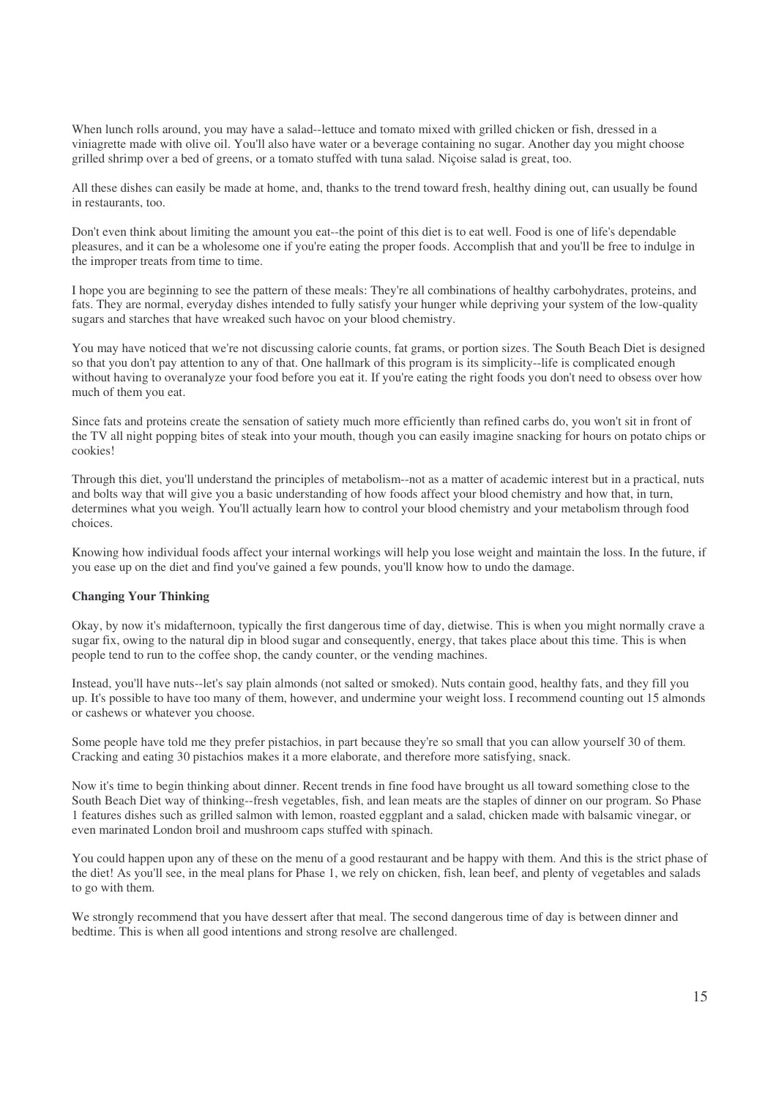When lunch rolls around, you may have a salad--lettuce and tomato mixed with grilled chicken or fish, dressed in a viniagrette made with olive oil. You'll also have water or a beverage containing no sugar. Another day you might choose grilled shrimp over a bed of greens, or a tomato stuffed with tuna salad. Niçoise salad is great, too.

All these dishes can easily be made at home, and, thanks to the trend toward fresh, healthy dining out, can usually be found in restaurants, too.

Don't even think about limiting the amount you eat--the point of this diet is to eat well. Food is one of life's dependable pleasures, and it can be a wholesome one if you're eating the proper foods. Accomplish that and you'll be free to indulge in the improper treats from time to time.

I hope you are beginning to see the pattern of these meals: They're all combinations of healthy carbohydrates, proteins, and fats. They are normal, everyday dishes intended to fully satisfy your hunger while depriving your system of the low-quality sugars and starches that have wreaked such havoc on your blood chemistry.

You may have noticed that we're not discussing calorie counts, fat grams, or portion sizes. The South Beach Diet is designed so that you don't pay attention to any of that. One hallmark of this program is its simplicity--life is complicated enough without having to overanalyze your food before you eat it. If you're eating the right foods you don't need to obsess over how much of them you eat.

Since fats and proteins create the sensation of satiety much more efficiently than refined carbs do, you won't sit in front of the TV all night popping bites of steak into your mouth, though you can easily imagine snacking for hours on potato chips or cookies!

Through this diet, you'll understand the principles of metabolism--not as a matter of academic interest but in a practical, nuts and bolts way that will give you a basic understanding of how foods affect your blood chemistry and how that, in turn, determines what you weigh. You'll actually learn how to control your blood chemistry and your metabolism through food choices.

Knowing how individual foods affect your internal workings will help you lose weight and maintain the loss. In the future, if you ease up on the diet and find you've gained a few pounds, you'll know how to undo the damage.

#### **Changing Your Thinking**

Okay, by now it's midafternoon, typically the first dangerous time of day, dietwise. This is when you might normally crave a sugar fix, owing to the natural dip in blood sugar and consequently, energy, that takes place about this time. This is when people tend to run to the coffee shop, the candy counter, or the vending machines.

Instead, you'll have nuts--let's say plain almonds (not salted or smoked). Nuts contain good, healthy fats, and they fill you up. It's possible to have too many of them, however, and undermine your weight loss. I recommend counting out 15 almonds or cashews or whatever you choose.

Some people have told me they prefer pistachios, in part because they're so small that you can allow yourself 30 of them. Cracking and eating 30 pistachios makes it a more elaborate, and therefore more satisfying, snack.

Now it's time to begin thinking about dinner. Recent trends in fine food have brought us all toward something close to the South Beach Diet way of thinking--fresh vegetables, fish, and lean meats are the staples of dinner on our program. So Phase 1 features dishes such as grilled salmon with lemon, roasted eggplant and a salad, chicken made with balsamic vinegar, or even marinated London broil and mushroom caps stuffed with spinach.

You could happen upon any of these on the menu of a good restaurant and be happy with them. And this is the strict phase of the diet! As you'll see, in the meal plans for Phase 1, we rely on chicken, fish, lean beef, and plenty of vegetables and salads to go with them.

We strongly recommend that you have dessert after that meal. The second dangerous time of day is between dinner and bedtime. This is when all good intentions and strong resolve are challenged.